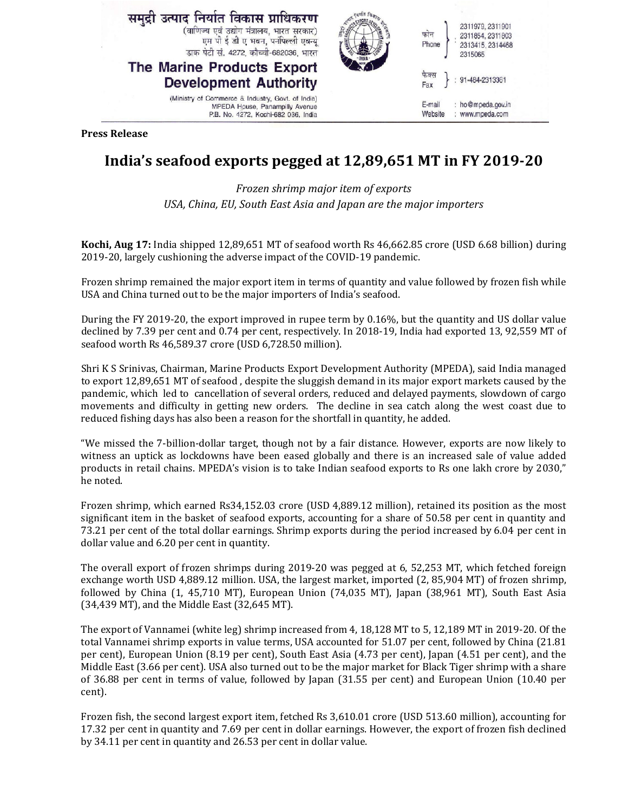

**Press Release** 

## **India's seafood exports pegged at 12,89,651 MT in FY 2019-20**

*Frozen shrimp major item of exports USA, China, EU, South East Asia and Japan are the major importers* 

**Kochi, Aug 17:** India shipped 12,89,651 MT of seafood worth Rs 46,662.85 crore (USD 6.68 billion) during 2019-20, largely cushioning the adverse impact of the COVID-19 pandemic.

Frozen shrimp remained the major export item in terms of quantity and value followed by frozen fish while USA and China turned out to be the major importers of India's seafood.

During the FY 2019-20, the export improved in rupee term by 0.16%, but the quantity and US dollar value declined by 7.39 per cent and 0.74 per cent, respectively. In 2018-19, India had exported 13, 92,559 MT of seafood worth Rs 46,589.37 crore (USD 6,728.50 million).

Shri K S Srinivas, Chairman, Marine Products Export Development Authority (MPEDA), said India managed to export 12,89,651 MT of seafood , despite the sluggish demand in its major export markets caused by the pandemic, which led to cancellation of several orders, reduced and delayed payments, slowdown of cargo movements and difficulty in getting new orders. The decline in sea catch along the west coast due to reduced fishing days has also been a reason for the shortfall in quantity, he added.

"We missed the 7-billion-dollar target, though not by a fair distance. However, exports are now likely to witness an uptick as lockdowns have been eased globally and there is an increased sale of value added products in retail chains. MPEDA's vision is to take Indian seafood exports to Rs one lakh crore by 2030," he noted.

Frozen shrimp, which earned Rs34,152.03 crore (USD 4,889.12 million), retained its position as the most significant item in the basket of seafood exports, accounting for a share of 50.58 per cent in quantity and 73.21 per cent of the total dollar earnings. Shrimp exports during the period increased by 6.04 per cent in dollar value and 6.20 per cent in quantity.

The overall export of frozen shrimps during 2019-20 was pegged at 6, 52,253 MT, which fetched foreign exchange worth USD 4,889.12 million. USA, the largest market, imported (2, 85,904 MT) of frozen shrimp, followed by China (1, 45,710 MT), European Union (74,035 MT), Japan (38,961 MT), South East Asia (34,439 MT), and the Middle East (32,645 MT).

The export of Vannamei (white leg) shrimp increased from 4, 18,128 MT to 5, 12,189 MT in 2019-20. Of the total Vannamei shrimp exports in value terms, USA accounted for 51.07 per cent, followed by China (21.81 per cent), European Union (8.19 per cent), South East Asia (4.73 per cent), Japan (4.51 per cent), and the Middle East (3.66 per cent). USA also turned out to be the major market for Black Tiger shrimp with a share of 36.88 per cent in terms of value, followed by Japan (31.55 per cent) and European Union (10.40 per cent).

Frozen fish, the second largest export item, fetched Rs 3,610.01 crore (USD 513.60 million), accounting for 17.32 per cent in quantity and 7.69 per cent in dollar earnings. However, the export of frozen fish declined by 34.11 per cent in quantity and 26.53 per cent in dollar value.